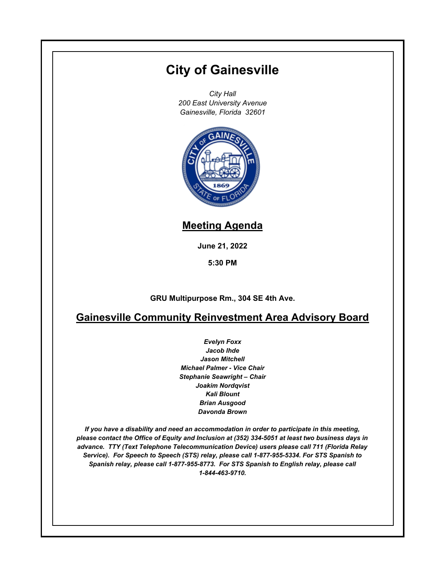# **City of Gainesville**

*City Hall 200 East University Avenue Gainesville, Florida 32601*



# **Meeting Agenda**

**June 21, 2022**

**5:30 PM**

**GRU Multipurpose Rm., 304 SE 4th Ave.**

# **Gainesville Community Reinvestment Area Advisory Board**

*Evelyn Foxx Jacob Ihde Jason Mitchell Michael Palmer - Vice Chair Stephanie Seawright – Chair Joakim Nordqvist Kali Blount Brian Ausgood Davonda Brown*

*If you have a disability and need an accommodation in order to participate in this meeting, please contact the Office of Equity and Inclusion at (352) 334-5051 at least two business days in advance. TTY (Text Telephone Telecommunication Device) users please call 711 (Florida Relay Service). For Speech to Speech (STS) relay, please call 1-877-955-5334. For STS Spanish to Spanish relay, please call 1-877-955-8773. For STS Spanish to English relay, please call 1-844-463-9710.*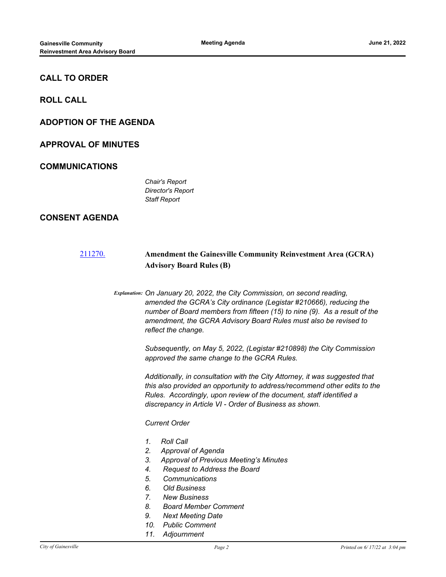# **CALL TO ORDER**

**ROLL CALL**

# **ADOPTION OF THE AGENDA**

# **APPROVAL OF MINUTES**

# **COMMUNICATIONS**

*Chair's Report Director's Report Staff Report*

# **CONSENT AGENDA**

# [211270.](http://gainesville.legistar.com/gateway.aspx?m=l&id=/matter.aspx?key=34052) **Amendment the Gainesville Community Reinvestment Area (GCRA) Advisory Board Rules (B)**

*Explanation: On January 20, 2022, the City Commission, on second reading, amended the GCRA's City ordinance (Legistar #210666), reducing the number of Board members from fifteen (15) to nine (9). As a result of the amendment, the GCRA Advisory Board Rules must also be revised to reflect the change.*

> *Subsequently, on May 5, 2022, (Legistar #210898) the City Commission approved the same change to the GCRA Rules.*

*Additionally, in consultation with the City Attorney, it was suggested that this also provided an opportunity to address/recommend other edits to the Rules. Accordingly, upon review of the document, staff identified a discrepancy in Article VI - Order of Business as shown.*

*Current Order*

- *1. Roll Call*
- *2. Approval of Agenda*
- *3. Approval of Previous Meeting's Minutes*
- *4. Request to Address the Board*
- *5. Communications*
- *6. Old Business*
- *7. New Business*
- *8. Board Member Comment*
- *9. Next Meeting Date*
- *10. Public Comment*
- *11. Adjournment*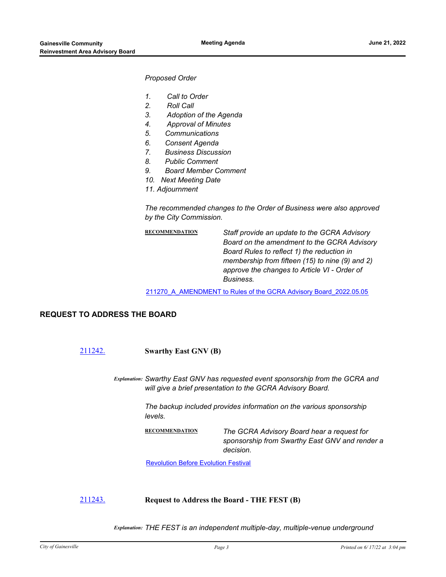#### *Proposed Order*

- *1. Call to Order*
- *2. Roll Call*
- *3. Adoption of the Agenda*
- *4. Approval of Minutes*
- *5. Communications*
- *6. Consent Agenda*
- *7. Business Discussion*
- *8. Public Comment*
- *9. Board Member Comment*
- *10. Next Meeting Date*
- *11. Adjournment*

*The recommended changes to the Order of Business were also approved by the City Commission.*

| Staff provide an update to the GCRA Advisory<br>Board on the amendment to the GCRA Advisory<br>Board Rules to reflect 1) the reduction in<br>membership from fifteen (15) to nine (9) and 2)<br>approve the changes to Article VI - Order of |
|----------------------------------------------------------------------------------------------------------------------------------------------------------------------------------------------------------------------------------------------|
| Business.                                                                                                                                                                                                                                    |
|                                                                                                                                                                                                                                              |

[211270\\_A\\_AMENDMENT to Rules of the GCRA Advisory Board\\_2022.05.05](http://Gainesville.legistar.com/gateway.aspx?M=F&ID=841b38ec-2d2b-497b-a759-d8da4db8ac12.pdf)

# **REQUEST TO ADDRESS THE BOARD**

[211242.](http://gainesville.legistar.com/gateway.aspx?m=l&id=/matter.aspx?key=34024) **Swarthy East GNV (B)**

*Explanation: Swarthy East GNV has requested event sponsorship from the GCRA and will give a brief presentation to the GCRA Advisory Board.* 

> *The backup included provides information on the various sponsorship levels.*

**RECOMMENDATION** *The GCRA Advisory Board hear a request for sponsorship from Swarthy East GNV and render a decision.*

[Revolution Before Evolution Festival](http://Gainesville.legistar.com/gateway.aspx?M=F&ID=b6ea8ed7-169a-4345-adaa-f69c29a669bd.jpg)

#### [211243.](http://gainesville.legistar.com/gateway.aspx?m=l&id=/matter.aspx?key=34025) **Request to Address the Board - THE FEST (B)**

*Explanation: THE FEST is an independent multiple-day, multiple-venue underground*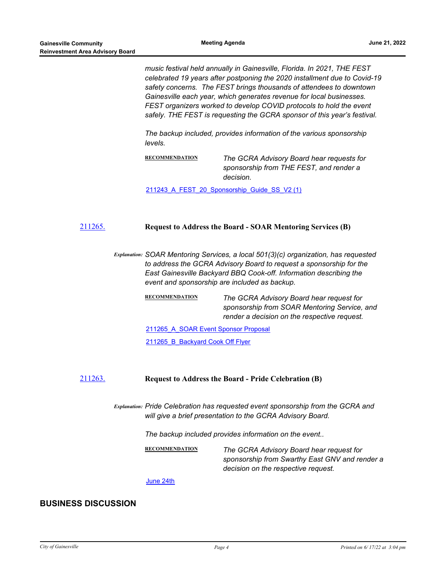*music festival held annually in Gainesville, Florida. In 2021, THE FEST celebrated 19 years after postponing the 2020 installment due to Covid-19 safety concerns. The FEST brings thousands of attendees to downtown Gainesville each year, which generates revenue for local businesses. FEST organizers worked to develop COVID protocols to hold the event safely. THE FEST is requesting the GCRA sponsor of this year's festival.* 

*The backup included, provides information of the various sponsorship levels.*

**RECOMMENDATION** *The GCRA Advisory Board hear requests for sponsorship from THE FEST, and render a decision.*

211243 A\_FEST\_20\_Sponsorship\_Guide\_SS\_V2 (1)

#### [211265.](http://gainesville.legistar.com/gateway.aspx?m=l&id=/matter.aspx?key=34047) **Request to Address the Board - SOAR Mentoring Services (B)**

*Explanation: SOAR Mentoring Services, a local 501(3)(c) organization, has requested to address the GCRA Advisory Board to request a sponsorship for the East Gainesville Backyard BBQ Cook-off. Information describing the event and sponsorship are included as backup.*

> **RECOMMENDATION** *The GCRA Advisory Board hear request for sponsorship from SOAR Mentoring Service, and render a decision on the respective request.*

211265 A SOAR Event Sponsor Proposal

211265 B Backyard Cook Off Flyer

#### [211263.](http://gainesville.legistar.com/gateway.aspx?m=l&id=/matter.aspx?key=34045) **Request to Address the Board - Pride Celebration (B)**

*Explanation: Pride Celebration has requested event sponsorship from the GCRA and will give a brief presentation to the GCRA Advisory Board.* 

*The backup included provides information on the event..*

**RECOMMENDATION** *The GCRA Advisory Board hear request for sponsorship from Swarthy East GNV and render a decision on the respective request.*

[June 24th](http://Gainesville.legistar.com/gateway.aspx?M=F&ID=65f9ffd2-5b63-4f72-b31d-063d1facff69.jpg)

### **BUSINESS DISCUSSION**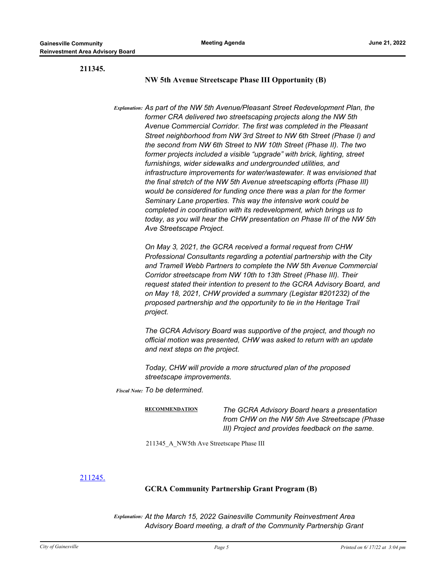**211345.**

#### **NW 5th Avenue Streetscape Phase III Opportunity (B)**

*Explanation: As part of the NW 5th Avenue/Pleasant Street Redevelopment Plan, the former CRA delivered two streetscaping projects along the NW 5th Avenue Commercial Corridor. The first was completed in the Pleasant Street neighborhood from NW 3rd Street to NW 6th Street (Phase I) and the second from NW 6th Street to NW 10th Street (Phase II). The two former projects included a visible "upgrade" with brick, lighting, street furnishings, wider sidewalks and undergrounded utilities, and infrastructure improvements for water/wastewater. It was envisioned that the final stretch of the NW 5th Avenue streetscaping efforts (Phase III) would be considered for funding once there was a plan for the former Seminary Lane properties. This way the intensive work could be completed in coordination with its redevelopment, which brings us to today, as you will hear the CHW presentation on Phase III of the NW 5th Ave Streetscape Project.*

> *On May 3, 2021, the GCRA received a formal request from CHW Professional Consultants regarding a potential partnership with the City and Tramell Webb Partners to complete the NW 5th Avenue Commercial Corridor streetscape from NW 10th to 13th Street (Phase III). Their request stated their intention to present to the GCRA Advisory Board, and on May 18, 2021, CHW provided a summary (Legistar #201232) of the proposed partnership and the opportunity to tie in the Heritage Trail project.*

*The GCRA Advisory Board was supportive of the project, and though no official motion was presented, CHW was asked to return with an update and next steps on the project.*

*Today, CHW will provide a more structured plan of the proposed streetscape improvements.*

*Fiscal Note: To be determined.*

**RECOMMENDATION** *The GCRA Advisory Board hears a presentation from CHW on the NW 5th Ave Streetscape (Phase III) Project and provides feedback on the same.*

211345\_A\_NW5th Ave Streetscape Phase III

[211245.](http://gainesville.legistar.com/gateway.aspx?m=l&id=/matter.aspx?key=34027)

# **GCRA Community Partnership Grant Program (B)**

*Explanation: At the March 15, 2022 Gainesville Community Reinvestment Area Advisory Board meeting, a draft of the Community Partnership Grant*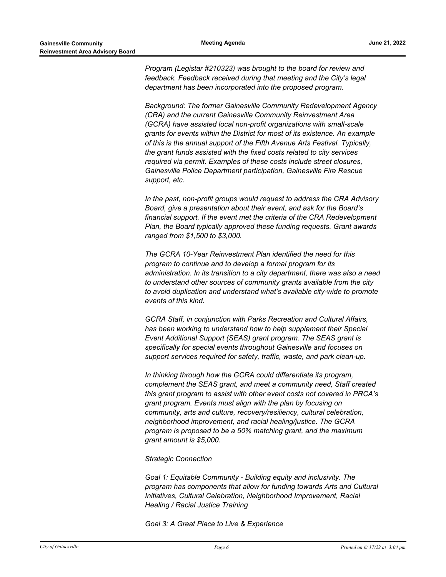*Program (Legistar #210323) was brought to the board for review and feedback. Feedback received during that meeting and the City's legal department has been incorporated into the proposed program.* 

*Background: The former Gainesville Community Redevelopment Agency (CRA) and the current Gainesville Community Reinvestment Area (GCRA) have assisted local non-profit organizations with small-scale grants for events within the District for most of its existence. An example of this is the annual support of the Fifth Avenue Arts Festival. Typically, the grant funds assisted with the fixed costs related to city services required via permit. Examples of these costs include street closures, Gainesville Police Department participation, Gainesville Fire Rescue support, etc.* 

*In the past, non-profit groups would request to address the CRA Advisory Board, give a presentation about their event, and ask for the Board's financial support. If the event met the criteria of the CRA Redevelopment Plan, the Board typically approved these funding requests. Grant awards ranged from \$1,500 to \$3,000.* 

*The GCRA 10-Year Reinvestment Plan identified the need for this program to continue and to develop a formal program for its administration. In its transition to a city department, there was also a need to understand other sources of community grants available from the city to avoid duplication and understand what's available city-wide to promote events of this kind.* 

*GCRA Staff, in conjunction with Parks Recreation and Cultural Affairs, has been working to understand how to help supplement their Special Event Additional Support (SEAS) grant program. The SEAS grant is specifically for special events throughout Gainesville and focuses on support services required for safety, traffic, waste, and park clean-up.* 

*In thinking through how the GCRA could differentiate its program, complement the SEAS grant, and meet a community need, Staff created this grant program to assist with other event costs not covered in PRCA's grant program. Events must align with the plan by focusing on community, arts and culture, recovery/resiliency, cultural celebration, neighborhood improvement, and racial healing/justice. The GCRA program is proposed to be a 50% matching grant, and the maximum grant amount is \$5,000.* 

#### *Strategic Connection*

*Goal 1: Equitable Community - Building equity and inclusivity. The program has components that allow for funding towards Arts and Cultural Initiatives, Cultural Celebration, Neighborhood Improvement, Racial Healing / Racial Justice Training* 

*Goal 3: A Great Place to Live & Experience*